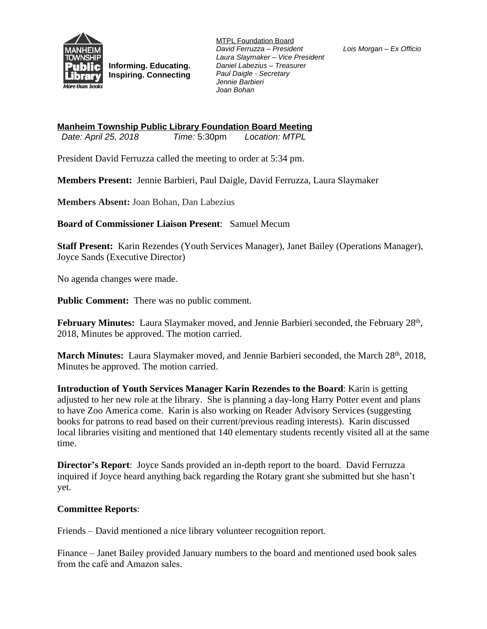

**Informing. Educating. Inspiring. Connecting** MTPL Foundation Board *David Ferruzza – President Laura Slaymaker – Vice President Daniel Labezius – Treasurer Paul Daigle - Secretary Jennie Barbieri Joan Bohan*

*Lois Morgan – Ex Officio*

**Manheim Township Public Library Foundation Board Meeting** *Date: April 25, 2018 Time: 5:30pm* 

President David Ferruzza called the meeting to order at 5:34 pm.

**Members Present:** Jennie Barbieri, Paul Daigle, David Ferruzza, Laura Slaymaker

**Members Absent:** Joan Bohan, Dan Labezius

**Board of Commissioner Liaison Present**: Samuel Mecum

**Staff Present:** Karin Rezendes (Youth Services Manager), Janet Bailey (Operations Manager), Joyce Sands (Executive Director)

No agenda changes were made.

**Public Comment:** There was no public comment.

February Minutes: Laura Slaymaker moved, and Jennie Barbieri seconded, the February 28<sup>th</sup>, 2018, Minutes be approved. The motion carried.

**March Minutes:** Laura Slaymaker moved, and Jennie Barbieri seconded, the March 28th, 2018, Minutes be approved. The motion carried.

**Introduction of Youth Services Manager Karin Rezendes to the Board**: Karin is getting adjusted to her new role at the library. She is planning a day-long Harry Potter event and plans to have Zoo America come. Karin is also working on Reader Advisory Services (suggesting books for patrons to read based on their current/previous reading interests). Karin discussed local libraries visiting and mentioned that 140 elementary students recently visited all at the same time.

**Director's Report**: Joyce Sands provided an in-depth report to the board. David Ferruzza inquired if Joyce heard anything back regarding the Rotary grant she submitted but she hasn't yet.

## **Committee Reports**:

Friends – David mentioned a nice library volunteer recognition report.

Finance – Janet Bailey provided January numbers to the board and mentioned used book sales from the café and Amazon sales.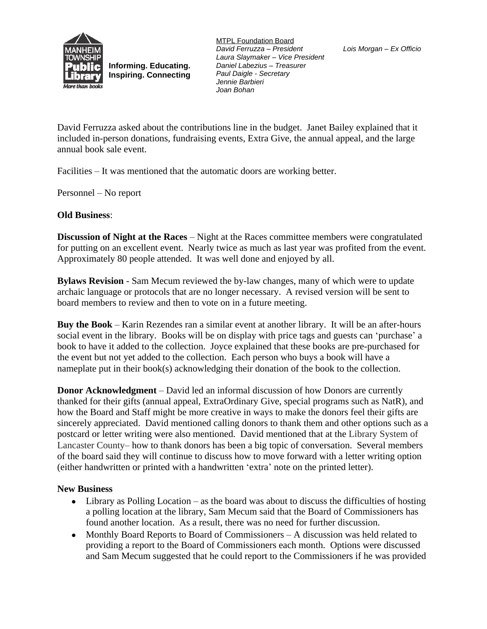

**Informing. Educating. Inspiring. Connecting** MTPL Foundation Board *David Ferruzza – President Laura Slaymaker – Vice President Daniel Labezius – Treasurer Paul Daigle - Secretary Jennie Barbieri Joan Bohan*

David Ferruzza asked about the contributions line in the budget. Janet Bailey explained that it included in-person donations, fundraising events, Extra Give, the annual appeal, and the large annual book sale event.

Facilities – It was mentioned that the automatic doors are working better.

Personnel – No report

## **Old Business**:

**Discussion of Night at the Races** – Night at the Races committee members were congratulated for putting on an excellent event. Nearly twice as much as last year was profited from the event. Approximately 80 people attended. It was well done and enjoyed by all.

**Bylaws Revision** - Sam Mecum reviewed the by-law changes, many of which were to update archaic language or protocols that are no longer necessary. A revised version will be sent to board members to review and then to vote on in a future meeting.

**Buy the Book** – Karin Rezendes ran a similar event at another library. It will be an after-hours social event in the library. Books will be on display with price tags and guests can 'purchase' a book to have it added to the collection. Joyce explained that these books are pre-purchased for the event but not yet added to the collection. Each person who buys a book will have a nameplate put in their book(s) acknowledging their donation of the book to the collection.

**Donor Acknowledgment** – David led an informal discussion of how Donors are currently thanked for their gifts (annual appeal, ExtraOrdinary Give, special programs such as NatR), and how the Board and Staff might be more creative in ways to make the donors feel their gifts are sincerely appreciated. David mentioned calling donors to thank them and other options such as a postcard or letter writing were also mentioned. David mentioned that at the Library System of Lancaster County– how to thank donors has been a big topic of conversation. Several members of the board said they will continue to discuss how to move forward with a letter writing option (either handwritten or printed with a handwritten 'extra' note on the printed letter).

## **New Business**

- Library as Polling Location as the board was about to discuss the difficulties of hosting a polling location at the library, Sam Mecum said that the Board of Commissioners has found another location. As a result, there was no need for further discussion.
- Monthly Board Reports to Board of Commissioners A discussion was held related to providing a report to the Board of Commissioners each month. Options were discussed and Sam Mecum suggested that he could report to the Commissioners if he was provided